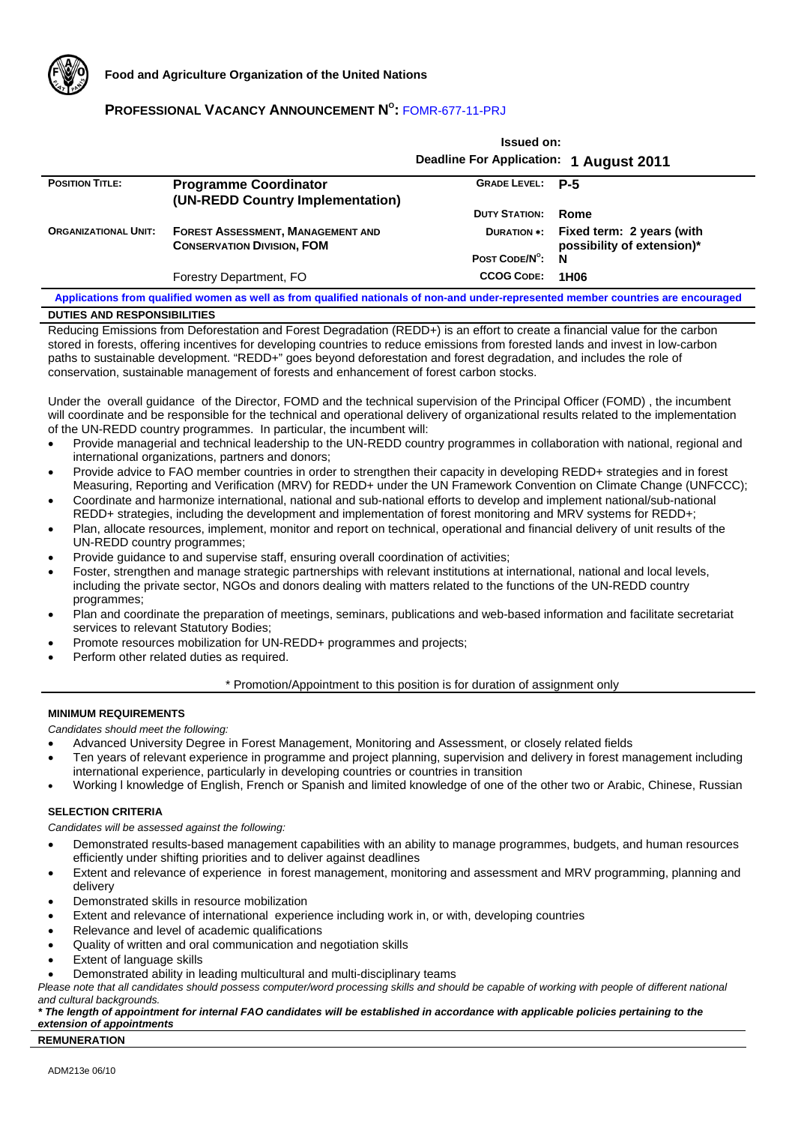

# **PROFESSIONAL VACANCY ANNOUNCEMENT N<sup>o</sup>: FOMR-677-11-PRJ**

|                             |                                                                               | 133464 VII.<br>Deadline For Application: 1 August 2011 |                                                                     |
|-----------------------------|-------------------------------------------------------------------------------|--------------------------------------------------------|---------------------------------------------------------------------|
| <b>POSITION TITLE:</b>      | <b>Programme Coordinator</b><br>(UN-REDD Country Implementation)              | GRADE LEVEL: P-5                                       |                                                                     |
|                             |                                                                               | <b>DUTY STATION:</b>                                   | Rome                                                                |
| <b>ORGANIZATIONAL UNIT:</b> | <b>FOREST ASSESSMENT, MANAGEMENT AND</b><br><b>CONSERVATION DIVISION, FOM</b> |                                                        | DURATION *: Fixed term: 2 years (with<br>possibility of extension)* |
|                             |                                                                               | POST CODE/N°:                                          | N                                                                   |
|                             | Forestry Department, FO                                                       | <b>CCOG CODE:</b>                                      | 1H <sub>06</sub>                                                    |

**Issued on:** 

**Applications from qualified women as well as from qualified nationals of non-and under-represented member countries are encouraged DUTIES AND RESPONSIBILITIES**

Reducing Emissions from Deforestation and Forest Degradation (REDD+) is an effort to create a financial value for the carbon stored in forests, offering incentives for developing countries to reduce emissions from forested lands and invest in low-carbon paths to sustainable development. "REDD+" goes beyond deforestation and forest degradation, and includes the role of conservation, sustainable management of forests and enhancement of forest carbon stocks.

Under the overall guidance of the Director, FOMD and the technical supervision of the Principal Officer (FOMD) , the incumbent will coordinate and be responsible for the technical and operational delivery of organizational results related to the implementation of the UN-REDD country programmes. In particular, the incumbent will:

- Provide managerial and technical leadership to the UN-REDD country programmes in collaboration with national, regional and international organizations, partners and donors;
- Provide advice to FAO member countries in order to strengthen their capacity in developing REDD+ strategies and in forest Measuring, Reporting and Verification (MRV) for REDD+ under the UN Framework Convention on Climate Change (UNFCCC);
- Coordinate and harmonize international, national and sub-national efforts to develop and implement national/sub-national REDD+ strategies, including the development and implementation of forest monitoring and MRV systems for REDD+;
- Plan, allocate resources, implement, monitor and report on technical, operational and financial delivery of unit results of the UN-REDD country programmes;
- Provide guidance to and supervise staff, ensuring overall coordination of activities;
- Foster, strengthen and manage strategic partnerships with relevant institutions at international, national and local levels, including the private sector, NGOs and donors dealing with matters related to the functions of the UN-REDD country programmes;
- Plan and coordinate the preparation of meetings, seminars, publications and web-based information and facilitate secretariat services to relevant Statutory Bodies;
- Promote resources mobilization for UN-REDD+ programmes and projects;
- Perform other related duties as required.

### \* Promotion/Appointment to this position is for duration of assignment only

### **MINIMUM REQUIREMENTS**

*Candidates should meet the following:* 

- Advanced University Degree in Forest Management, Monitoring and Assessment, or closely related fields
- Ten years of relevant experience in programme and project planning, supervision and delivery in forest management including international experience, particularly in developing countries or countries in transition
- Working l knowledge of English, French or Spanish and limited knowledge of one of the other two or Arabic, Chinese, Russian

## **SELECTION CRITERIA**

*Candidates will be assessed against the following:* 

- Demonstrated results-based management capabilities with an ability to manage programmes, budgets, and human resources efficiently under shifting priorities and to deliver against deadlines
- Extent and relevance of experience in forest management, monitoring and assessment and MRV programming, planning and delivery
- Demonstrated skills in resource mobilization
- Extent and relevance of international experience including work in, or with, developing countries
- Relevance and level of academic qualifications
- Quality of written and oral communication and negotiation skills
- **Extent of language skills**
- Demonstrated ability in leading multicultural and multi-disciplinary teams

Please note that all candidates should possess computer/word processing skills and should be capable of working with people of different national *and cultural backgrounds.* 

#### *\* The length of appointment for internal FAO candidates will be established in accordance with applicable policies pertaining to the extension of appointments*

#### **REMUNERATION**